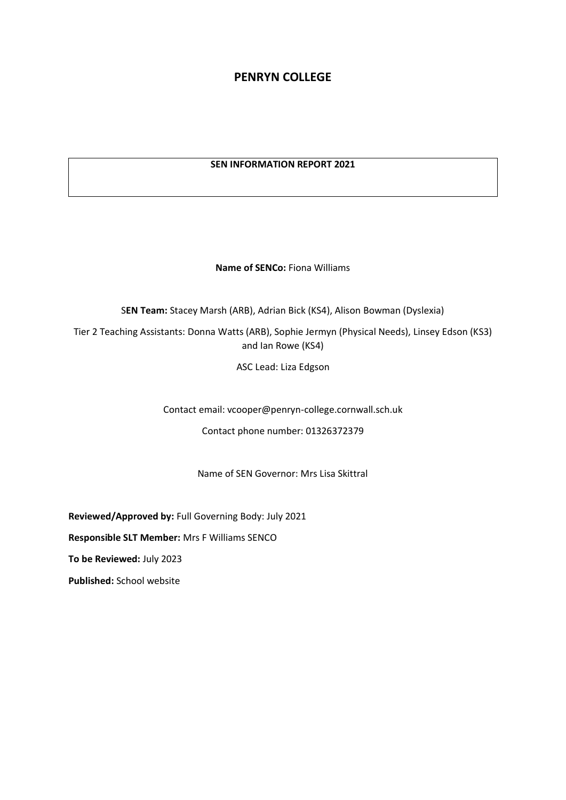# **PENRYN COLLEGE**

## **SEN INFORMATION REPORT 2021**

**Name of SENCo:** Fiona Williams

S**EN Team:** Stacey Marsh (ARB), Adrian Bick (KS4), Alison Bowman (Dyslexia)

Tier 2 Teaching Assistants: Donna Watts (ARB), Sophie Jermyn (Physical Needs), Linsey Edson (KS3) and Ian Rowe (KS4)

ASC Lead: Liza Edgson

Contact email: vcooper@penryn-college.cornwall.sch.uk

Contact phone number: 01326372379

Name of SEN Governor: Mrs Lisa Skittral

**Reviewed/Approved by:** Full Governing Body: July 2021

**Responsible SLT Member:** Mrs F Williams SENCO

**To be Reviewed:** July 2023

**Published:** School website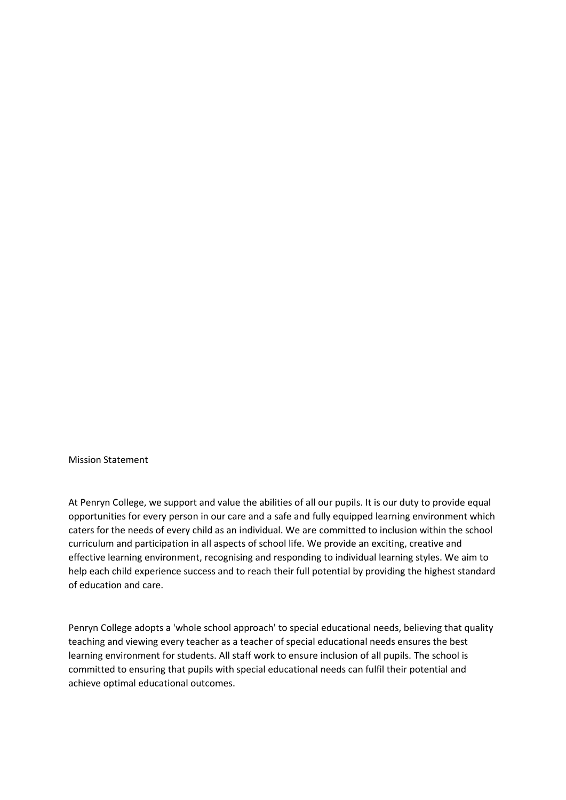Mission Statement

At Penryn College, we support and value the abilities of all our pupils. It is our duty to provide equal opportunities for every person in our care and a safe and fully equipped learning environment which caters for the needs of every child as an individual. We are committed to inclusion within the school curriculum and participation in all aspects of school life. We provide an exciting, creative and effective learning environment, recognising and responding to individual learning styles. We aim to help each child experience success and to reach their full potential by providing the highest standard of education and care.

Penryn College adopts a 'whole school approach' to special educational needs, believing that quality teaching and viewing every teacher as a teacher of special educational needs ensures the best learning environment for students. All staff work to ensure inclusion of all pupils. The school is committed to ensuring that pupils with special educational needs can fulfil their potential and achieve optimal educational outcomes.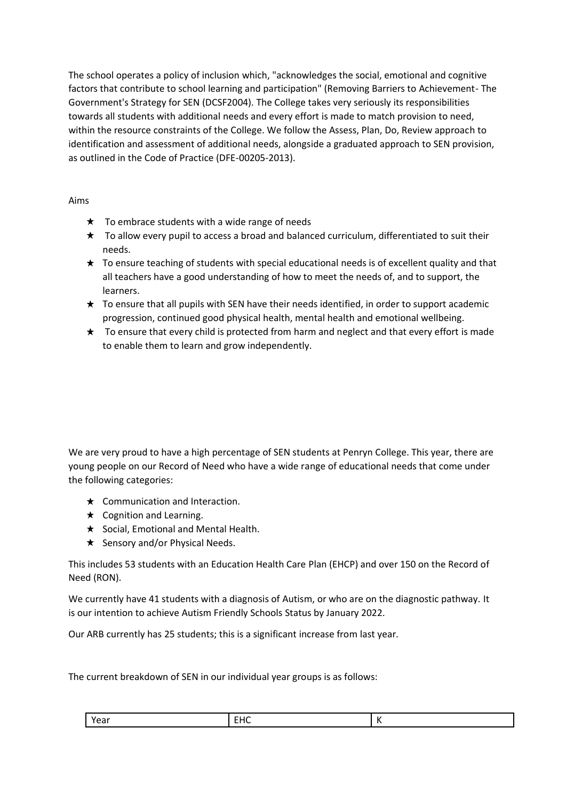The school operates a policy of inclusion which, "acknowledges the social, emotional and cognitive factors that contribute to school learning and participation" (Removing Barriers to Achievement- The Government's Strategy for SEN (DCSF2004). The College takes very seriously its responsibilities towards all students with additional needs and every effort is made to match provision to need, within the resource constraints of the College. We follow the Assess, Plan, Do, Review approach to identification and assessment of additional needs, alongside a graduated approach to SEN provision, as outlined in the Code of Practice (DFE-00205-2013).

Aims

- $\star$  To embrace students with a wide range of needs
- $\star$  To allow every pupil to access a broad and balanced curriculum, differentiated to suit their needs.
- $\star$  To ensure teaching of students with special educational needs is of excellent quality and that all teachers have a good understanding of how to meet the needs of, and to support, the learners.
- $\star$  To ensure that all pupils with SEN have their needs identified, in order to support academic progression, continued good physical health, mental health and emotional wellbeing.
- $\star$  To ensure that every child is protected from harm and neglect and that every effort is made to enable them to learn and grow independently.

We are very proud to have a high percentage of SEN students at Penryn College. This year, there are young people on our Record of Need who have a wide range of educational needs that come under the following categories:

- $\star$  Communication and Interaction.
- $\star$  Cognition and Learning.
- $\star$  Social, Emotional and Mental Health.
- $\star$  Sensory and/or Physical Needs.

This includes 53 students with an Education Health Care Plan (EHCP) and over 150 on the Record of Need (RON).

We currently have 41 students with a diagnosis of Autism, or who are on the diagnostic pathway. It is our intention to achieve Autism Friendly Schools Status by January 2022.

Our ARB currently has 25 students; this is a significant increase from last year.

The current breakdown of SEN in our individual year groups is as follows:

| Voor<br>car | $\cdots$<br>$\sim$ 15 $\sim$<br> |  |
|-------------|----------------------------------|--|
|-------------|----------------------------------|--|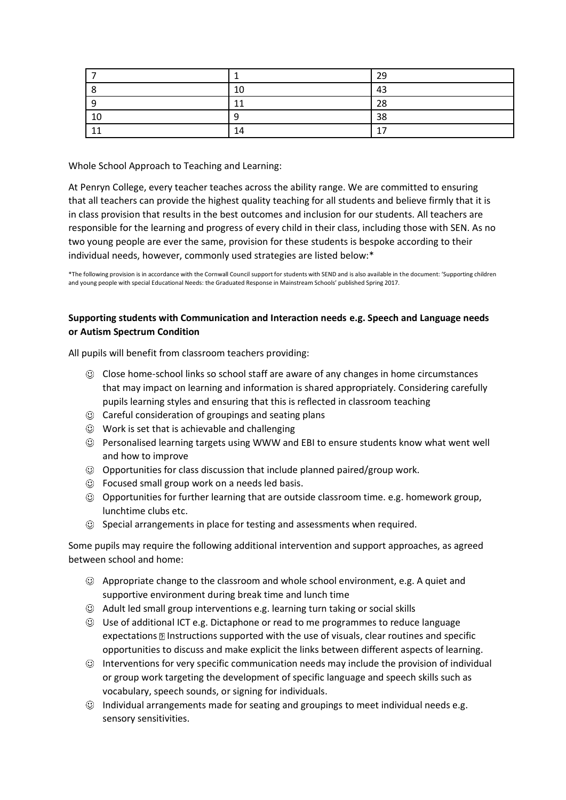|    |                               | 29                            |
|----|-------------------------------|-------------------------------|
|    | 10                            | 43                            |
|    | $\overline{\phantom{a}}$<br>л | 28                            |
| 10 |                               | 38                            |
| -4 | 14                            | —<br>$\overline{\phantom{a}}$ |

Whole School Approach to Teaching and Learning:

At Penryn College, every teacher teaches across the ability range. We are committed to ensuring that all teachers can provide the highest quality teaching for all students and believe firmly that it is in class provision that results in the best outcomes and inclusion for our students. All teachers are responsible for the learning and progress of every child in their class, including those with SEN. As no two young people are ever the same, provision for these students is bespoke according to their individual needs, however, commonly used strategies are listed below:\*

\*The following provision is in accordance with the Cornwall Council support for students with SEND and is also available in the document: 'Supporting children and young people with special Educational Needs: the Graduated Response in Mainstream Schools' published Spring 2017.

## **Supporting students with Communication and Interaction needs e.g. Speech and Language needs or Autism Spectrum Condition**

All pupils will benefit from classroom teachers providing:

- Close home-school links so school staff are aware of any changes in home circumstances that may impact on learning and information is shared appropriately. Considering carefully pupils learning styles and ensuring that this is reflected in classroom teaching
- $\odot$  Careful consideration of groupings and seating plans
- $\odot$  Work is set that is achievable and challenging
- Personalised learning targets using WWW and EBI to ensure students know what went well and how to improve
- $\odot$  Opportunities for class discussion that include planned paired/group work.
- $\odot$  Focused small group work on a needs led basis.
- Opportunities for further learning that are outside classroom time. e.g. homework group, lunchtime clubs etc.
- $\odot$  Special arrangements in place for testing and assessments when required.

Some pupils may require the following additional intervention and support approaches, as agreed between school and home:

- Appropriate change to the classroom and whole school environment, e.g. A quiet and supportive environment during break time and lunch time
- $\odot$  Adult led small group interventions e.g. learning turn taking or social skills
- Use of additional ICT e.g. Dictaphone or read to me programmes to reduce language expectations **Instructions supported with the use of visuals, clear routines and specific** opportunities to discuss and make explicit the links between different aspects of learning.
- $\odot$  Interventions for very specific communication needs may include the provision of individual or group work targeting the development of specific language and speech skills such as vocabulary, speech sounds, or signing for individuals.
- $\odot$  Individual arrangements made for seating and groupings to meet individual needs e.g. sensory sensitivities.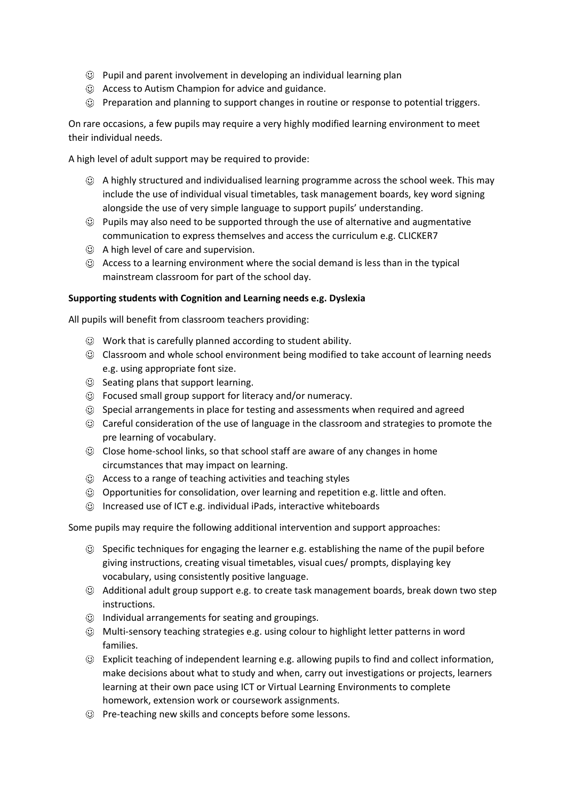- $\odot$  Pupil and parent involvement in developing an individual learning plan
- $\odot$  Access to Autism Champion for advice and guidance.
- Preparation and planning to support changes in routine or response to potential triggers.

On rare occasions, a few pupils may require a very highly modified learning environment to meet their individual needs.

A high level of adult support may be required to provide:

- A highly structured and individualised learning programme across the school week. This may include the use of individual visual timetables, task management boards, key word signing alongside the use of very simple language to support pupils' understanding.
- $\odot$  Pupils may also need to be supported through the use of alternative and augmentative communication to express themselves and access the curriculum e.g. CLICKER7
- A high level of care and supervision.
- $\odot$  Access to a learning environment where the social demand is less than in the typical mainstream classroom for part of the school day.

## **Supporting students with Cognition and Learning needs e.g. Dyslexia**

All pupils will benefit from classroom teachers providing:

- $\odot$  Work that is carefully planned according to student ability.
- Classroom and whole school environment being modified to take account of learning needs e.g. using appropriate font size.
- $\odot$  Seating plans that support learning.
- $\odot$  Focused small group support for literacy and/or numeracy.
- $\odot$  Special arrangements in place for testing and assessments when required and agreed
- Careful consideration of the use of language in the classroom and strategies to promote the pre learning of vocabulary.
- Close home-school links, so that school staff are aware of any changes in home circumstances that may impact on learning.
- Access to a range of teaching activities and teaching styles
- Opportunities for consolidation, over learning and repetition e.g. little and often.
- $\odot$  Increased use of ICT e.g. individual iPads, interactive whiteboards

Some pupils may require the following additional intervention and support approaches:

- Specific techniques for engaging the learner e.g. establishing the name of the pupil before giving instructions, creating visual timetables, visual cues/ prompts, displaying key vocabulary, using consistently positive language.
- Additional adult group support e.g. to create task management boards, break down two step instructions.
- $\odot$  Individual arrangements for seating and groupings.
- Multi-sensory teaching strategies e.g. using colour to highlight letter patterns in word families.
- Explicit teaching of independent learning e.g. allowing pupils to find and collect information, make decisions about what to study and when, carry out investigations or projects, learners learning at their own pace using ICT or Virtual Learning Environments to complete homework, extension work or coursework assignments.
- Pre-teaching new skills and concepts before some lessons.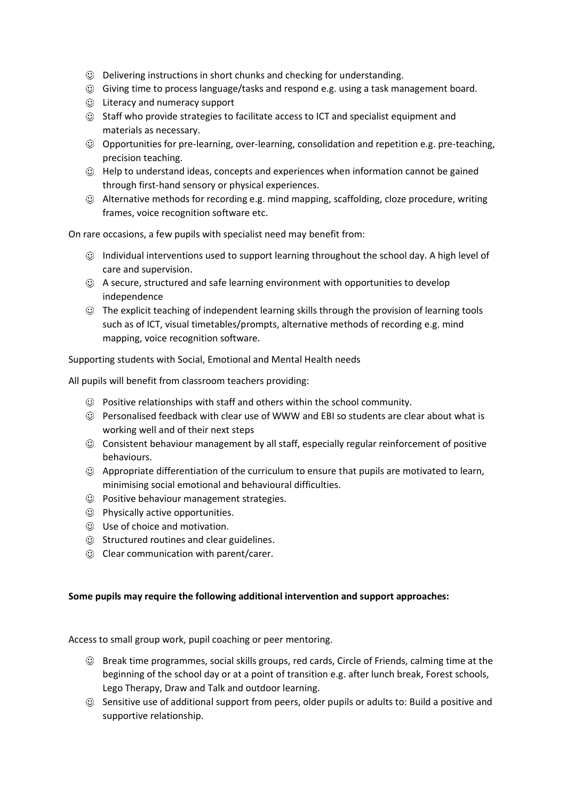- Delivering instructions in short chunks and checking for understanding.
- Giving time to process language/tasks and respond e.g. using a task management board.
- $\odot$  Literacy and numeracy support
- Staff who provide strategies to facilitate access to ICT and specialist equipment and materials as necessary.
- Opportunities for pre-learning, over-learning, consolidation and repetition e.g. pre-teaching, precision teaching.
- $\odot$  Help to understand ideas, concepts and experiences when information cannot be gained through first-hand sensory or physical experiences.
- Alternative methods for recording e.g. mind mapping, scaffolding, cloze procedure, writing frames, voice recognition software etc.

On rare occasions, a few pupils with specialist need may benefit from:

- Individual interventions used to support learning throughout the school day. A high level of care and supervision.
- A secure, structured and safe learning environment with opportunities to develop independence
- The explicit teaching of independent learning skills through the provision of learning tools such as of ICT, visual timetables/prompts, alternative methods of recording e.g. mind mapping, voice recognition software.

Supporting students with Social, Emotional and Mental Health needs

All pupils will benefit from classroom teachers providing:

- $\odot$  Positive relationships with staff and others within the school community.
- Personalised feedback with clear use of WWW and EBI so students are clear about what is working well and of their next steps
- Consistent behaviour management by all staff, especially regular reinforcement of positive behaviours.
- Appropriate differentiation of the curriculum to ensure that pupils are motivated to learn, minimising social emotional and behavioural difficulties.
- Positive behaviour management strategies.
- Physically active opportunities.
- Use of choice and motivation.
- $\odot$  Structured routines and clear guidelines.
- Clear communication with parent/carer.

## **Some pupils may require the following additional intervention and support approaches:**

Access to small group work, pupil coaching or peer mentoring.

- $\odot$  Break time programmes, social skills groups, red cards, Circle of Friends, calming time at the beginning of the school day or at a point of transition e.g. after lunch break, Forest schools, Lego Therapy, Draw and Talk and outdoor learning.
- $\odot$  Sensitive use of additional support from peers, older pupils or adults to: Build a positive and supportive relationship.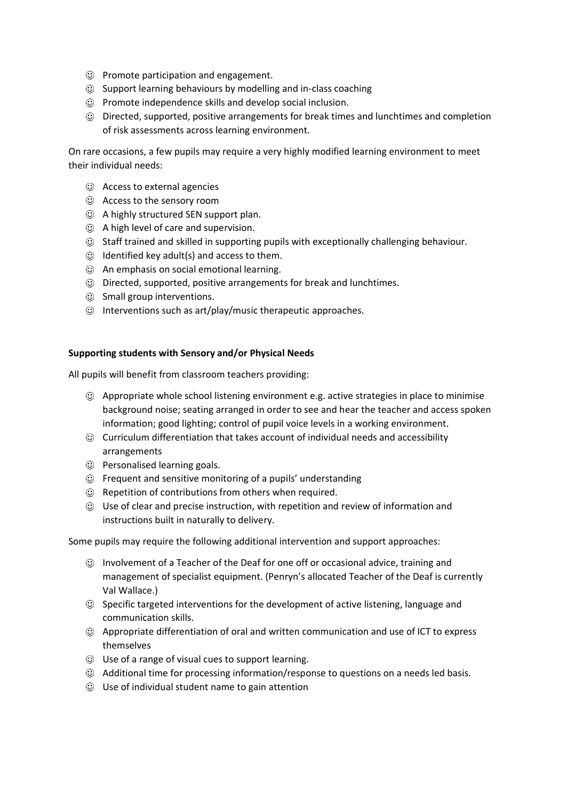- Promote participation and engagement.
- $\odot$  Support learning behaviours by modelling and in-class coaching
- $\odot$  Promote independence skills and develop social inclusion.
- Directed, supported, positive arrangements for break times and lunchtimes and completion of risk assessments across learning environment.

On rare occasions, a few pupils may require a very highly modified learning environment to meet their individual needs:

- Access to external agencies
- Access to the sensory room
- A highly structured SEN support plan.
- A high level of care and supervision.
- Staff trained and skilled in supporting pupils with exceptionally challenging behaviour.
- $\odot$  Identified key adult(s) and access to them.
- An emphasis on social emotional learning.
- Directed, supported, positive arrangements for break and lunchtimes.
- $\odot$  Small group interventions.
- $\odot$  Interventions such as art/play/music therapeutic approaches.

## **Supporting students with Sensory and/or Physical Needs**

All pupils will benefit from classroom teachers providing:

- Appropriate whole school listening environment e.g. active strategies in place to minimise background noise; seating arranged in order to see and hear the teacher and access spoken information; good lighting; control of pupil voice levels in a working environment.
- Curriculum differentiation that takes account of individual needs and accessibility arrangements
- $\odot$  Personalised learning goals.
- Frequent and sensitive monitoring of a pupils' understanding
- Repetition of contributions from others when required.
- $\heartsuit$  Use of clear and precise instruction, with repetition and review of information and instructions built in naturally to delivery.

Some pupils may require the following additional intervention and support approaches:

- Involvement of a Teacher of the Deaf for one off or occasional advice, training and management of specialist equipment. (Penryn's allocated Teacher of the Deaf is currently Val Wallace.)
- Specific targeted interventions for the development of active listening, language and communication skills.
- Appropriate differentiation of oral and written communication and use of ICT to express themselves
- Use of a range of visual cues to support learning.
- Additional time for processing information/response to questions on a needs led basis.
- Use of individual student name to gain attention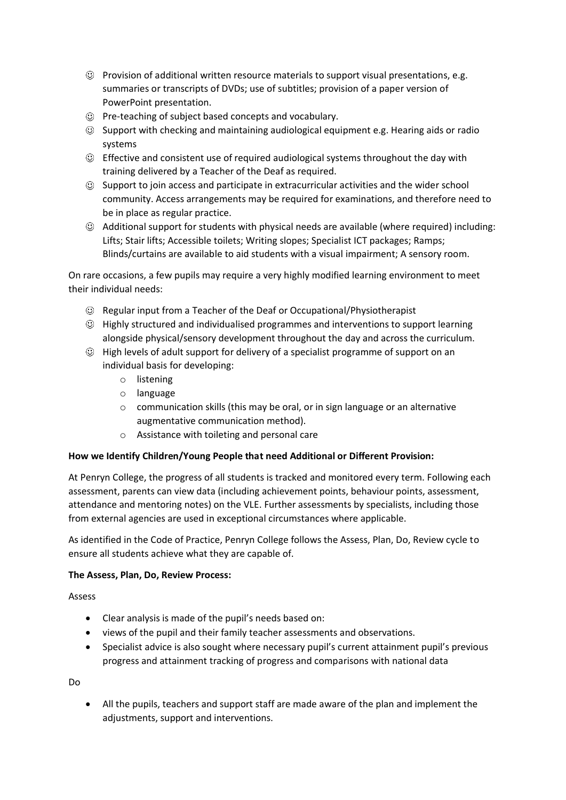- Provision of additional written resource materials to support visual presentations, e.g. summaries or transcripts of DVDs; use of subtitles; provision of a paper version of PowerPoint presentation.
- Pre-teaching of subject based concepts and vocabulary.
- $\odot$  Support with checking and maintaining audiological equipment e.g. Hearing aids or radio systems
- Effective and consistent use of required audiological systems throughout the day with training delivered by a Teacher of the Deaf as required.
- $\odot$  Support to join access and participate in extracurricular activities and the wider school community. Access arrangements may be required for examinations, and therefore need to be in place as regular practice.
- Additional support for students with physical needs are available (where required) including: Lifts; Stair lifts; Accessible toilets; Writing slopes; Specialist ICT packages; Ramps; Blinds/curtains are available to aid students with a visual impairment; A sensory room.

On rare occasions, a few pupils may require a very highly modified learning environment to meet their individual needs:

- Regular input from a Teacher of the Deaf or Occupational/Physiotherapist
- Highly structured and individualised programmes and interventions to support learning alongside physical/sensory development throughout the day and across the curriculum.
- $\odot$  High levels of adult support for delivery of a specialist programme of support on an individual basis for developing:
	- o listening
	- o language
	- o communication skills (this may be oral, or in sign language or an alternative augmentative communication method).
	- o Assistance with toileting and personal care

## **How we Identify Children/Young People that need Additional or Different Provision:**

At Penryn College, the progress of all students is tracked and monitored every term. Following each assessment, parents can view data (including achievement points, behaviour points, assessment, attendance and mentoring notes) on the VLE. Further assessments by specialists, including those from external agencies are used in exceptional circumstances where applicable.

As identified in the Code of Practice, Penryn College follows the Assess, Plan, Do, Review cycle to ensure all students achieve what they are capable of.

## **The Assess, Plan, Do, Review Process:**

Assess

- Clear analysis is made of the pupil's needs based on:
- views of the pupil and their family teacher assessments and observations.
- Specialist advice is also sought where necessary pupil's current attainment pupil's previous progress and attainment tracking of progress and comparisons with national data

Do

• All the pupils, teachers and support staff are made aware of the plan and implement the adjustments, support and interventions.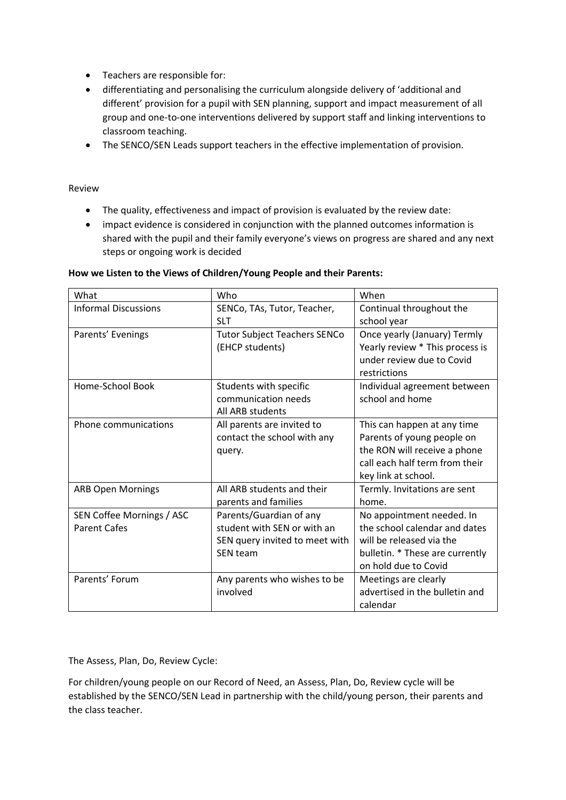- Teachers are responsible for:
- differentiating and personalising the curriculum alongside delivery of 'additional and different' provision for a pupil with SEN planning, support and impact measurement of all group and one-to-one interventions delivered by support staff and linking interventions to classroom teaching.
- The SENCO/SEN Leads support teachers in the effective implementation of provision.

## Review

- The quality, effectiveness and impact of provision is evaluated by the review date:
- impact evidence is considered in conjunction with the planned outcomes information is shared with the pupil and their family everyone's views on progress are shared and any next steps or ongoing work is decided

| What                        | Who                                 | When                            |
|-----------------------------|-------------------------------------|---------------------------------|
| <b>Informal Discussions</b> | SENCo, TAs, Tutor, Teacher,         | Continual throughout the        |
|                             | <b>SLT</b>                          | school year                     |
| Parents' Evenings           | <b>Tutor Subject Teachers SENCo</b> | Once yearly (January) Termly    |
|                             | (EHCP students)                     | Yearly review * This process is |
|                             |                                     | under review due to Covid       |
|                             |                                     | restrictions                    |
| Home-School Book            | Students with specific              | Individual agreement between    |
|                             | communication needs                 | school and home                 |
|                             | All ARB students                    |                                 |
| Phone communications        | All parents are invited to          | This can happen at any time     |
|                             | contact the school with any         | Parents of young people on      |
|                             | query.                              | the RON will receive a phone    |
|                             |                                     | call each half term from their  |
|                             |                                     | key link at school.             |
| <b>ARB Open Mornings</b>    | All ARB students and their          | Termly. Invitations are sent    |
|                             | parents and families                | home.                           |
| SEN Coffee Mornings / ASC   | Parents/Guardian of any             | No appointment needed. In       |
| <b>Parent Cafes</b>         | student with SEN or with an         | the school calendar and dates   |
|                             | SEN query invited to meet with      | will be released via the        |
|                             | SEN team                            | bulletin. * These are currently |
|                             |                                     | on hold due to Covid            |
| Parents' Forum              | Any parents who wishes to be        | Meetings are clearly            |
|                             | involved                            | advertised in the bulletin and  |
|                             |                                     | calendar                        |

#### **How we Listen to the Views of Children/Young People and their Parents:**

The Assess, Plan, Do, Review Cycle:

For children/young people on our Record of Need, an Assess, Plan, Do, Review cycle will be established by the SENCO/SEN Lead in partnership with the child/young person, their parents and the class teacher.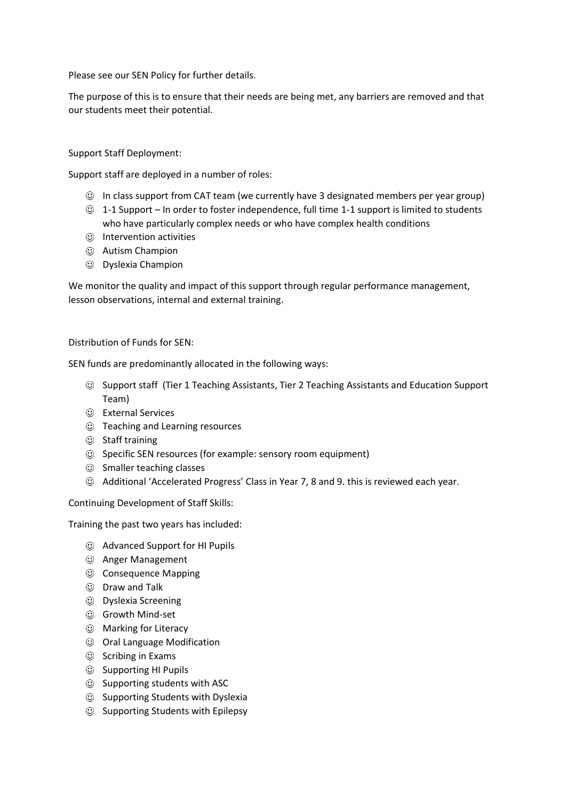Please see our SEN Policy for further details.

The purpose of this is to ensure that their needs are being met, any barriers are removed and that our students meet their potential.

## Support Staff Deployment:

Support staff are deployed in a number of roles:

- $\odot$  In class support from CAT team (we currently have 3 designated members per year group)
- $\odot$  1-1 Support In order to foster independence, full time 1-1 support is limited to students who have particularly complex needs or who have complex health conditions
- $<sup>①</sup>$  Intervention activities</sup>
- Autism Champion
- Dyslexia Champion

We monitor the quality and impact of this support through regular performance management, lesson observations, internal and external training.

## Distribution of Funds for SEN:

SEN funds are predominantly allocated in the following ways:

- Support staff (Tier 1 Teaching Assistants, Tier 2 Teaching Assistants and Education Support Team)
- External Services
- Teaching and Learning resources
- $\circledcirc$  Staff training
- $\odot$  Specific SEN resources (for example: sensory room equipment)
- $\odot$  Smaller teaching classes
- Additional 'Accelerated Progress' Class in Year 7, 8 and 9. this is reviewed each year.

Continuing Development of Staff Skills:

Training the past two years has included:

- Advanced Support for HI Pupils
- Anger Management
- © Consequence Mapping
- Draw and Talk
- Dyslexia Screening
- Growth Mind-set
- Marking for Literacy
- Oral Language Modification
- $\circledcirc$  Scribing in Exams
- $\circledcirc$  Supporting HI Pupils
- $\odot$  Supporting students with ASC
- Supporting Students with Dyslexia
- $\circledcirc$  Supporting Students with Epilepsy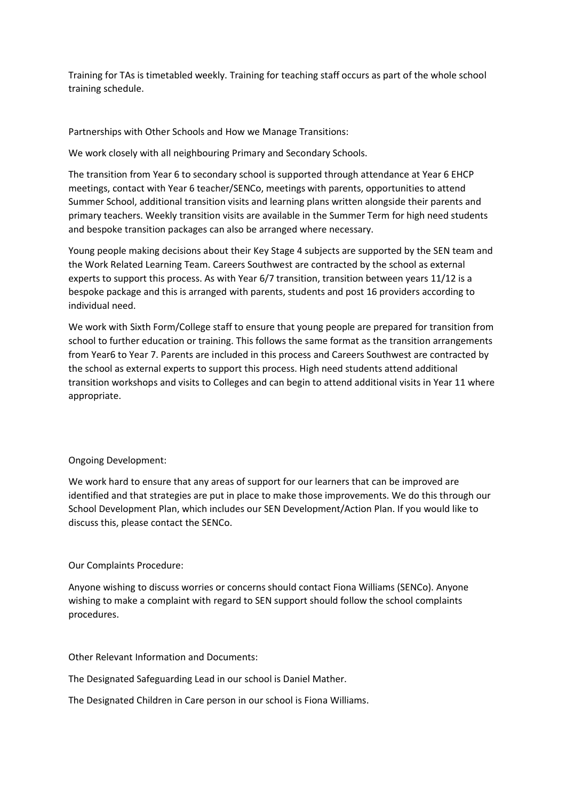Training for TAs is timetabled weekly. Training for teaching staff occurs as part of the whole school training schedule.

Partnerships with Other Schools and How we Manage Transitions:

We work closely with all neighbouring Primary and Secondary Schools.

The transition from Year 6 to secondary school is supported through attendance at Year 6 EHCP meetings, contact with Year 6 teacher/SENCo, meetings with parents, opportunities to attend Summer School, additional transition visits and learning plans written alongside their parents and primary teachers. Weekly transition visits are available in the Summer Term for high need students and bespoke transition packages can also be arranged where necessary.

Young people making decisions about their Key Stage 4 subjects are supported by the SEN team and the Work Related Learning Team. Careers Southwest are contracted by the school as external experts to support this process. As with Year 6/7 transition, transition between years 11/12 is a bespoke package and this is arranged with parents, students and post 16 providers according to individual need.

We work with Sixth Form/College staff to ensure that young people are prepared for transition from school to further education or training. This follows the same format as the transition arrangements from Year6 to Year 7. Parents are included in this process and Careers Southwest are contracted by the school as external experts to support this process. High need students attend additional transition workshops and visits to Colleges and can begin to attend additional visits in Year 11 where appropriate.

## Ongoing Development:

We work hard to ensure that any areas of support for our learners that can be improved are identified and that strategies are put in place to make those improvements. We do this through our School Development Plan, which includes our SEN Development/Action Plan. If you would like to discuss this, please contact the SENCo.

## Our Complaints Procedure:

Anyone wishing to discuss worries or concerns should contact Fiona Williams (SENCo). Anyone wishing to make a complaint with regard to SEN support should follow the school complaints procedures.

Other Relevant Information and Documents:

The Designated Safeguarding Lead in our school is Daniel Mather.

The Designated Children in Care person in our school is Fiona Williams.